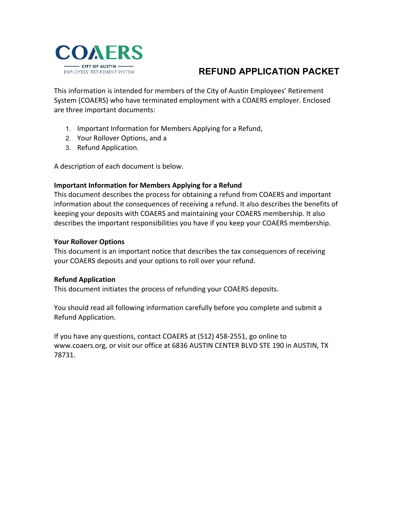

# **REFUND APPLICATION PACKET**

This information is intended for members of the City of Austin Employees' Retirement System (COAERS) who have terminated employment with a COAERS employer. Enclosed are three important documents:

- 1. Important Information for Members Applying for a Refund,
- 2. Your Rollover Options, and a
- 3. Refund Application.

A description of each document is below.

### **Important Information for Members Applying for a Refund**

This document describes the process for obtaining a refund from COAERS and important information about the consequences of receiving a refund. It also describes the benefits of keeping your deposits with COAERS and maintaining your COAERS membership. It also describes the important responsibilities you have if you keep your COAERS membership.

### **Your Rollover Options**

This document is an important notice that describes the tax consequences of receiving your COAERS deposits and your options to roll over your refund.

### **Refund Application**

This document initiates the process of refunding your COAERS deposits.

You should read all following information carefully before you complete and submit a Refund Application.

If you have any questions, contact COAERS at (512) 458-2551, go online to www.coaers.org, or visit our office at 6836 AUSTIN CENTER BLVD STE 190 in AUSTIN, TX 78731.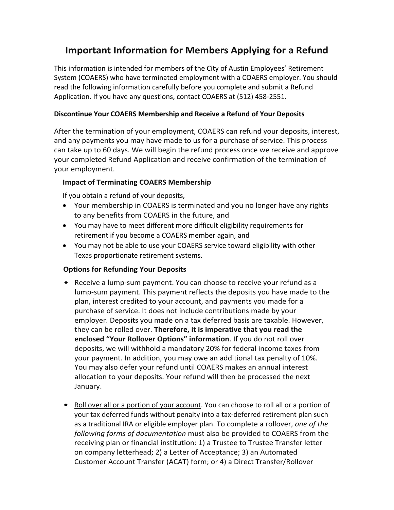# **Important Information for Members Applying for a Refund**

This information is intended for members of the City of Austin Employees' Retirement System (COAERS) who have terminated employment with a COAERS employer. You should read the following information carefully before you complete and submit a Refund Application. If you have any questions, contact COAERS at (512) 458-2551.

# **Discontinue Your COAERS Membership and Receive a Refund of Your Deposits**

After the termination of your employment, COAERS can refund your deposits, interest, and any payments you may have made to us for a purchase of service. This process can take up to 60 days. We will begin the refund process once we receive and approve your completed Refund Application and receive confirmation of the termination of your employment.

## **Impact of Terminating COAERS Membership**

If you obtain a refund of your deposits,

- Your membership in COAERS is terminated and you no longer have any rights to any benefits from COAERS in the future, and
- You may have to meet different more difficult eligibility requirements for retirement if you become a COAERS member again, and
- You may not be able to use your COAERS service toward eligibility with other Texas proportionate retirement systems.

# **Options for Refunding Your Deposits**

- Receive a lump-sum payment. You can choose to receive your refund as a lump-sum payment. This payment reflects the deposits you have made to the plan, interest credited to your account, and payments you made for a purchase of service. It does not include contributions made by your employer. Deposits you made on a tax deferred basis are taxable. However, they can be rolled over. **Therefore, it is imperative that you read the enclosed "Your Rollover Options" information**. If you do not roll over deposits, we will withhold a mandatory 20% for federal income taxes from your payment. In addition, you may owe an additional tax penalty of 10%. You may also defer your refund until COAERS makes an annual interest allocation to your deposits. Your refund will then be processed the next January.
- Roll over all or a portion of your account. You can choose to roll all or a portion of your tax deferred funds without penalty into a tax-deferred retirement plan such as a traditional IRA or eligible employer plan. To complete a rollover, *one of the following forms of documentation* must also be provided to COAERS from the receiving plan or financial institution: 1) a Trustee to Trustee Transfer letter on company letterhead; 2) a Letter of Acceptance; 3) an Automated Customer Account Transfer (ACAT) form; or 4) a Direct Transfer/Rollover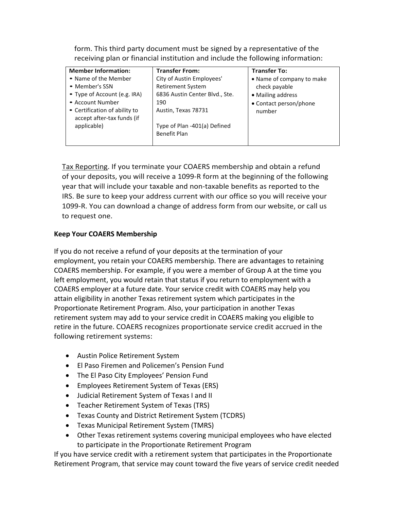form. This third party document must be signed by a representative of the receiving plan or financial institution and include the following information:

| <b>Member Information:</b>                                  | <b>Transfer From:</b>          | <b>Transfer To:</b>       |
|-------------------------------------------------------------|--------------------------------|---------------------------|
| • Name of the Member                                        | City of Austin Employees'      | • Name of company to make |
| • Member's SSN                                              | <b>Retirement System</b>       | check payable             |
| • Type of Account (e.g. IRA)                                | 6836 Austin Center Blvd., Ste. | • Mailing address         |
| • Account Number                                            | 190                            | • Contact person/phone    |
| • Certification of ability to<br>accept after-tax funds (if | Austin, Texas 78731            | number                    |
| applicable)                                                 | Type of Plan -401(a) Defined   |                           |
|                                                             | <b>Benefit Plan</b>            |                           |
|                                                             |                                |                           |

Tax Reporting. If you terminate your COAERS membership and obtain a refund of your deposits, you will receive a 1099-R form at the beginning of the following year that will include your taxable and non-taxable benefits as reported to the IRS. Be sure to keep your address current with our office so you will receive your 1099-R. You can download a change of address form from our website, or call us to request one.

## **Keep Your COAERS Membership**

If you do not receive a refund of your deposits at the termination of your employment, you retain your COAERS membership. There are advantages to retaining COAERS membership. For example, if you were a member of Group A at the time you left employment, you would retain that status if you return to employment with a COAERS employer at a future date. Your service credit with COAERS may help you attain eligibility in another Texas retirement system which participates in the Proportionate Retirement Program. Also, your participation in another Texas retirement system may add to your service credit in COAERS making you eligible to retire in the future. COAERS recognizes proportionate service credit accrued in the following retirement systems:

- Austin Police Retirement System
- El Paso Firemen and Policemen's Pension Fund
- The El Paso City Employees' Pension Fund
- Employees Retirement System of Texas (ERS)
- Judicial Retirement System of Texas I and II
- Teacher Retirement System of Texas (TRS)
- Texas County and District Retirement System (TCDRS)
- Texas Municipal Retirement System (TMRS)
- Other Texas retirement systems covering municipal employees who have elected to participate in the Proportionate Retirement Program

If you have service credit with a retirement system that participates in the Proportionate Retirement Program, that service may count toward the five years of service credit needed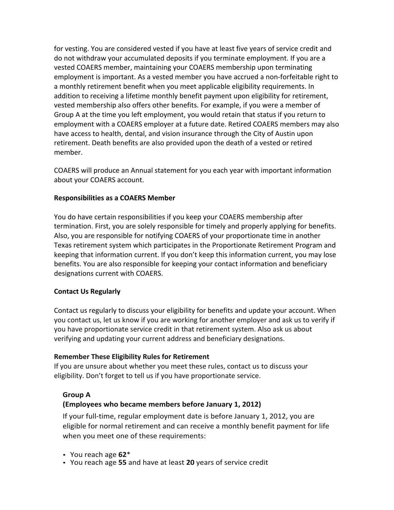for vesting. You are considered vested if you have at least five years of service credit and do not withdraw your accumulated deposits if you terminate employment. If you are a vested COAERS member, maintaining your COAERS membership upon terminating employment is important. As a vested member you have accrued a non-forfeitable right to a monthly retirement benefit when you meet applicable eligibility requirements. In addition to receiving a lifetime monthly benefit payment upon eligibility for retirement, vested membership also offers other benefits. For example, if you were a member of Group A at the time you left employment, you would retain that status if you return to employment with a COAERS employer at a future date. Retired COAERS members may also have access to health, dental, and vision insurance through the City of Austin upon retirement. Death benefits are also provided upon the death of a vested or retired member.

COAERS will produce an Annual statement for you each year with important information about your COAERS account.

## **Responsibilities as a COAERS Member**

You do have certain responsibilities if you keep your COAERS membership after termination. First, you are solely responsible for timely and properly applying for benefits. Also, you are responsible for notifying COAERS of your proportionate time in another Texas retirement system which participates in the Proportionate Retirement Program and keeping that information current. If you don't keep this information current, you may lose benefits. You are also responsible for keeping your contact information and beneficiary designations current with COAERS.

### **Contact Us Regularly**

Contact us regularly to discuss your eligibility for benefits and update your account. When you contact us, let us know if you are working for another employer and ask us to verify if you have proportionate service credit in that retirement system. Also ask us about verifying and updating your current address and beneficiary designations.

### **Remember These Eligibility Rules for Retirement**

If you are unsure about whether you meet these rules, contact us to discuss your eligibility. Don't forget to tell us if you have proportionate service.

# **Group A**

# **(Employees who became members before January 1, 2012)**

If your full-time, regular employment date is before January 1, 2012, you are eligible for normal retirement and can receive a monthly benefit payment for life when you meet one of these requirements:

- You reach age **62**\*
- You reach age **55** and have at least **20** years of service credit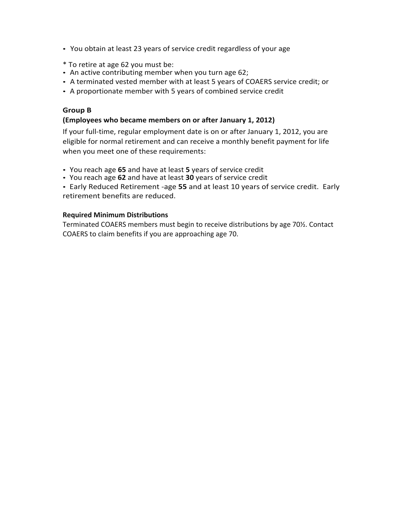- You obtain at least 23 years of service credit regardless of your age
- \* To retire at age 62 you must be:
- An active contributing member when you turn age 62;
- A terminated vested member with at least 5 years of COAERS service credit; or
- A proportionate member with 5 years of combined service credit

### **Group B**

## **(Employees who became members on or after January 1, 2012)**

If your full-time, regular employment date is on or after January 1, 2012, you are eligible for normal retirement and can receive a monthly benefit payment for life when you meet one of these requirements:

- You reach age **65** and have at least **5** years of service credit
- You reach age **62** and have at least **30** years of service credit
- Early Reduced Retirement -age **55** and at least 10 years of service credit. Early retirement benefits are reduced.

### **Required Minimum Distributions**

Terminated COAERS members must begin to receive distributions by age 70½. Contact COAERS to claim benefits if you are approaching age 70.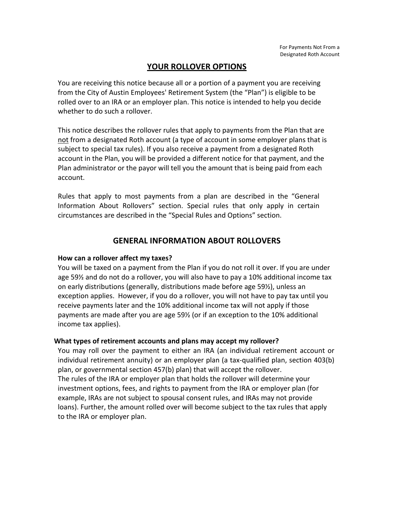# **YOUR ROLLOVER OPTIONS**

You are receiving this notice because all or a portion of a payment you are receiving from the City of Austin Employees' Retirement System (the "Plan") is eligible to be rolled over to an IRA or an employer plan. This notice is intended to help you decide whether to do such a rollover.

This notice describes the rollover rules that apply to payments from the Plan that are not from a designated Roth account (a type of account in some employer plans that is subject to special tax rules). If you also receive a payment from a designated Roth account in the Plan, you will be provided a different notice for that payment, and the Plan administrator or the payor will tell you the amount that is being paid from each account.

Rules that apply to most payments from a plan are described in the "General Information About Rollovers" section. Special rules that only apply in certain circumstances are described in the "Special Rules and Options" section.

# **GENERAL INFORMATION ABOUT ROLLOVERS**

### **How can a rollover affect my taxes?**

You will be taxed on a payment from the Plan if you do not roll it over. If you are under age 59½ and do not do a rollover, you will also have to pay a 10% additional income tax on early distributions (generally, distributions made before age 59½), unless an exception applies. However, if you do a rollover, you will not have to pay tax until you receive payments later and the 10% additional income tax will not apply if those payments are made after you are age 59½ (or if an exception to the 10% additional income tax applies).

### **What types of retirement accounts and plans may accept my rollover?**

You may roll over the payment to either an IRA (an individual retirement account or individual retirement annuity) or an employer plan (a tax-qualified plan, section 403(b) plan, or governmental section 457(b) plan) that will accept the rollover. The rules of the IRA or employer plan that holds the rollover will determine your investment options, fees, and rights to payment from the IRA or employer plan (for example, IRAs are not subject to spousal consent rules, and IRAs may not provide loans). Further, the amount rolled over will become subject to the tax rules that apply to the IRA or employer plan.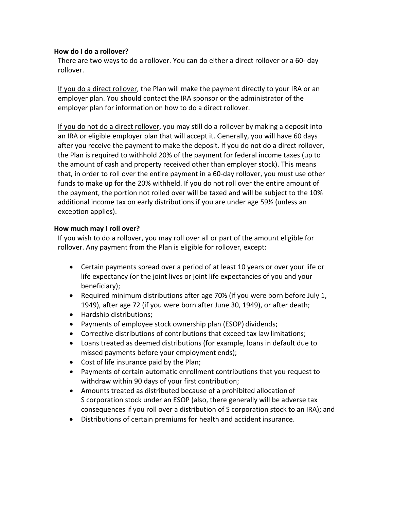### **How do I do a rollover?**

There are two ways to do a rollover. You can do either a direct rollover or a 60- day rollover.

If you do a direct rollover, the Plan will make the payment directly to your IRA or an employer plan. You should contact the IRA sponsor or the administrator of the employer plan for information on how to do a direct rollover.

If you do not do a direct rollover, you may still do a rollover by making a deposit into an IRA or eligible employer plan that will accept it. Generally, you will have 60 days after you receive the payment to make the deposit. If you do not do a direct rollover, the Plan is required to withhold 20% of the payment for federal income taxes (up to the amount of cash and property received other than employer stock). This means that, in order to roll over the entire payment in a 60-day rollover, you must use other funds to make up for the 20% withheld. If you do not roll over the entire amount of the payment, the portion not rolled over will be taxed and will be subject to the 10% additional income tax on early distributions if you are under age 59½ (unless an exception applies).

## **How much may I roll over?**

If you wish to do a rollover, you may roll over all or part of the amount eligible for rollover. Any payment from the Plan is eligible for rollover, except:

- Certain payments spread over a period of at least 10 years or over your life or life expectancy (or the joint lives or joint life expectancies of you and your beneficiary);
- Required minimum distributions after age 70½ (if you were born before July 1, 1949), after age 72 (if you were born after June 30, 1949), or after death;
- Hardship distributions;
- Payments of employee stock ownership plan (ESOP) dividends;
- Corrective distributions of contributions that exceed tax law limitations;
- Loans treated as deemed distributions (for example, loans in default due to missed payments before your employment ends);
- Cost of life insurance paid by the Plan;
- Payments of certain automatic enrollment contributions that you request to withdraw within 90 days of your first contribution;
- Amounts treated as distributed because of a prohibited allocation of S corporation stock under an ESOP (also, there generally will be adverse tax consequences if you roll over a distribution of S corporation stock to an IRA); and
- Distributions of certain premiums for health and accident insurance.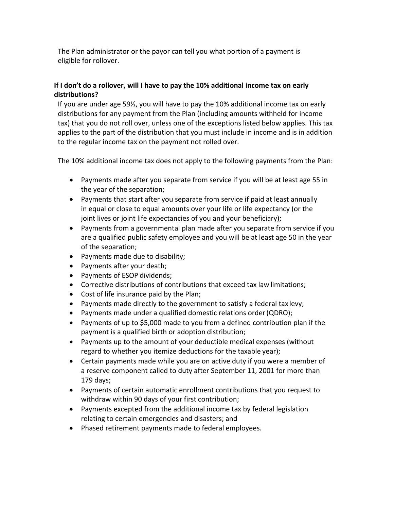The Plan administrator or the payor can tell you what portion of a payment is eligible for rollover.

# **If I don't do a rollover, will I have to pay the 10% additional income tax on early distributions?**

If you are under age 59½, you will have to pay the 10% additional income tax on early distributions for any payment from the Plan (including amounts withheld for income tax) that you do not roll over, unless one of the exceptions listed below applies. This tax applies to the part of the distribution that you must include in income and is in addition to the regular income tax on the payment not rolled over.

The 10% additional income tax does not apply to the following payments from the Plan:

- Payments made after you separate from service if you will be at least age 55 in the year of the separation;
- Payments that start after you separate from service if paid at least annually in equal or close to equal amounts over your life or life expectancy (or the joint lives or joint life expectancies of you and your beneficiary);
- Payments from a governmental plan made after you separate from service if you are a qualified public safety employee and you will be at least age 50 in the year of the separation;
- Payments made due to disability;
- Payments after your death;
- Payments of ESOP dividends;
- Corrective distributions of contributions that exceed tax law limitations;
- Cost of life insurance paid by the Plan;
- Payments made directly to the government to satisfy a federal tax levy;
- Payments made under a qualified domestic relations order(QDRO);
- Payments of up to \$5,000 made to you from a defined contribution plan if the payment is a qualified birth or adoption distribution;
- Payments up to the amount of your deductible medical expenses (without regard to whether you itemize deductions for the taxable year);
- Certain payments made while you are on active duty if you were a member of a reserve component called to duty after September 11, 2001 for more than 179 days;
- Payments of certain automatic enrollment contributions that you request to withdraw within 90 days of your first contribution;
- Payments excepted from the additional income tax by federal legislation relating to certain emergencies and disasters; and
- Phased retirement payments made to federal employees.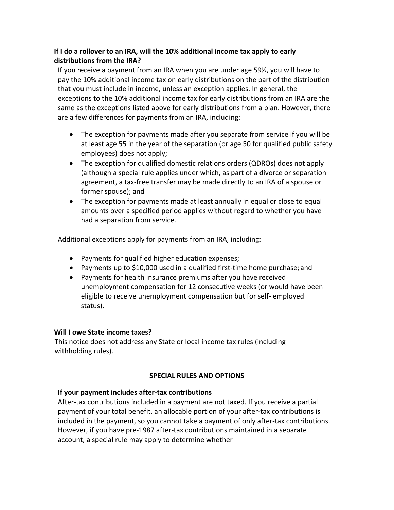# **If I do a rollover to an IRA, will the 10% additional income tax apply to early distributions from the IRA?**

If you receive a payment from an IRA when you are under age 59½, you will have to pay the 10% additional income tax on early distributions on the part of the distribution that you must include in income, unless an exception applies. In general, the exceptions to the 10% additional income tax for early distributions from an IRA are the same as the exceptions listed above for early distributions from a plan. However, there are a few differences for payments from an IRA, including:

- The exception for payments made after you separate from service if you will be at least age 55 in the year of the separation (or age 50 for qualified public safety employees) does not apply;
- The exception for qualified domestic relations orders (QDROs) does not apply (although a special rule applies under which, as part of a divorce or separation agreement, a tax-free transfer may be made directly to an IRA of a spouse or former spouse); and
- The exception for payments made at least annually in equal or close to equal amounts over a specified period applies without regard to whether you have had a separation from service.

Additional exceptions apply for payments from an IRA, including:

- Payments for qualified higher education expenses;
- Payments up to \$10,000 used in a qualified first-time home purchase; and
- Payments for health insurance premiums after you have received unemployment compensation for 12 consecutive weeks (or would have been eligible to receive unemployment compensation but for self- employed status).

# **Will I owe State income taxes?**

This notice does not address any State or local income tax rules (including withholding rules).

# **SPECIAL RULES AND OPTIONS**

# **If your payment includes after-tax contributions**

After-tax contributions included in a payment are not taxed. If you receive a partial payment of your total benefit, an allocable portion of your after-tax contributions is included in the payment, so you cannot take a payment of only after-tax contributions. However, if you have pre-1987 after-tax contributions maintained in a separate account, a special rule may apply to determine whether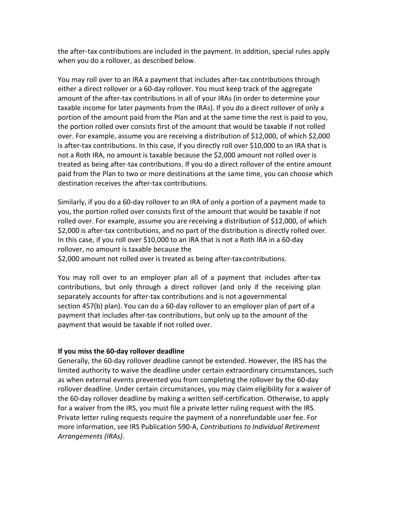the after-tax contributions are included in the payment. In addition, special rules apply when you do a rollover, as described below.

You may roll over to an IRA a payment that includes after-tax contributions through either a direct rollover or a 60-day rollover. You must keep track of the aggregate amount of the after-tax contributions in all of your IRAs (in order to determine your taxable income for later payments from the IRAs). If you do a direct rollover of only a portion of the amount paid from the Plan and at the same time the rest is paid to you, the portion rolled over consists first of the amount that would be taxable if not rolled over. For example, assume you are receiving a distribution of \$12,000, of which \$2,000 is after-tax contributions. In this case, if you directly roll over \$10,000 to an IRA that is not a Roth IRA, no amount is taxable because the \$2,000 amount not rolled over is treated as being after-tax contributions. If you do a direct rollover of the entire amount paid from the Plan to two or more destinations at the same time, you can choose which destination receives the after-tax contributions.

Similarly, if you do a 60-day rollover to an IRA of only a portion of a payment made to you, the portion rolled over consists first of the amount that would be taxable if not rolled over. For example, assume you are receiving a distribution of \$12,000, of which \$2,000 is after-tax contributions, and no part of the distribution is directly rolled over. In this case, if you roll over \$10,000 to an IRA that is not a Roth IRA in a 60-day rollover, no amount is taxable because the

\$2,000 amount not rolled over is treated as being after-taxcontributions.

You may roll over to an employer plan all of a payment that includes after-tax contributions, but only through a direct rollover (and only if the receiving plan separately accounts for after-tax contributions and is not a governmental section 457(b) plan). You can do a 60-day rollover to an employer plan of part of a payment that includes after-tax contributions, but only up to the amount of the payment that would be taxable if not rolled over.

### **If you miss the 60-day rollover deadline**

Generally, the 60-day rollover deadline cannot be extended. However, the IRS has the limited authority to waive the deadline under certain extraordinary circumstances, such as when external events prevented you from completing the rollover by the 60-day rollover deadline. Under certain circumstances, you may claim eligibility for a waiver of the 60-day rollover deadline by making a written self-certification. Otherwise, to apply for a waiver from the IRS, you must file a private letter ruling request with the IRS. Private letter ruling requests require the payment of a nonrefundable user fee. For more information, see IRS Publication 590-A, *Contributions to Individual Retirement Arrangements (IRAs)*.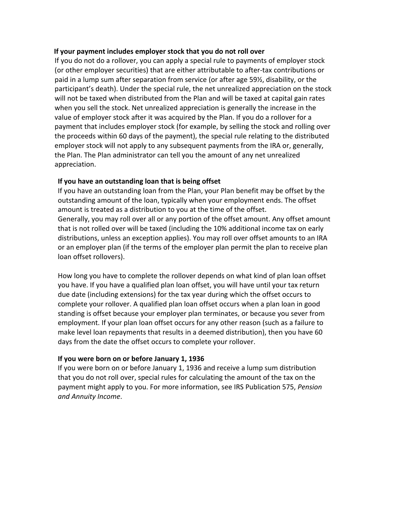#### **If your payment includes employer stock that you do not roll over**

If you do not do a rollover, you can apply a special rule to payments of employer stock (or other employer securities) that are either attributable to after-tax contributions or paid in a lump sum after separation from service (or after age 59½, disability, or the participant's death). Under the special rule, the net unrealized appreciation on the stock will not be taxed when distributed from the Plan and will be taxed at capital gain rates when you sell the stock. Net unrealized appreciation is generally the increase in the value of employer stock after it was acquired by the Plan. If you do a rollover for a payment that includes employer stock (for example, by selling the stock and rolling over the proceeds within 60 days of the payment), the special rule relating to the distributed employer stock will not apply to any subsequent payments from the IRA or, generally, the Plan. The Plan administrator can tell you the amount of any net unrealized appreciation.

## **If you have an outstanding loan that is being offset**

If you have an outstanding loan from the Plan, your Plan benefit may be offset by the outstanding amount of the loan, typically when your employment ends. The offset amount is treated as a distribution to you at the time of the offset. Generally, you may roll over all or any portion of the offset amount. Any offset amount that is not rolled over will be taxed (including the 10% additional income tax on early distributions, unless an exception applies). You may roll over offset amounts to an IRA or an employer plan (if the terms of the employer plan permit the plan to receive plan loan offset rollovers).

How long you have to complete the rollover depends on what kind of plan loan offset you have. If you have a qualified plan loan offset, you will have until your tax return due date (including extensions) for the tax year during which the offset occurs to complete your rollover. A qualified plan loan offset occurs when a plan loan in good standing is offset because your employer plan terminates, or because you sever from employment. If your plan loan offset occurs for any other reason (such as a failure to make level loan repayments that results in a deemed distribution), then you have 60 days from the date the offset occurs to complete your rollover.

### **If you were born on or before January 1, 1936**

If you were born on or before January 1, 1936 and receive a lump sum distribution that you do not roll over, special rules for calculating the amount of the tax on the payment might apply to you. For more information, see IRS Publication 575, *Pension and Annuity Income*.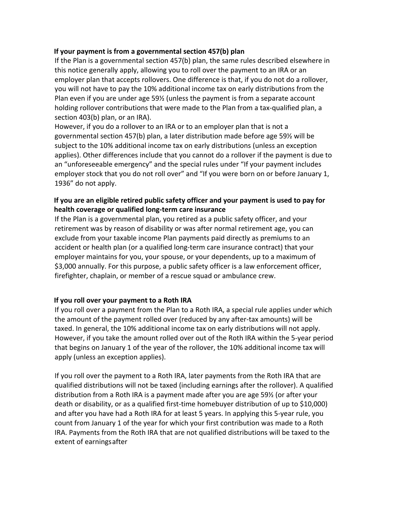### **If your payment is from a governmental section 457(b) plan**

If the Plan is a governmental section 457(b) plan, the same rules described elsewhere in this notice generally apply, allowing you to roll over the payment to an IRA or an employer plan that accepts rollovers. One difference is that, if you do not do a rollover, you will not have to pay the 10% additional income tax on early distributions from the Plan even if you are under age 59½ (unless the payment is from a separate account holding rollover contributions that were made to the Plan from a tax-qualified plan, a section 403(b) plan, or an IRA).

However, if you do a rollover to an IRA or to an employer plan that is not a governmental section 457(b) plan, a later distribution made before age 59½ will be subject to the 10% additional income tax on early distributions (unless an exception applies). Other differences include that you cannot do a rollover if the payment is due to an "unforeseeable emergency" and the special rules under "If your payment includes employer stock that you do not roll over" and "If you were born on or before January 1, 1936" do not apply.

# **If you are an eligible retired public safety officer and your payment is used to pay for health coverage or qualified long-term care insurance**

If the Plan is a governmental plan, you retired as a public safety officer, and your retirement was by reason of disability or was after normal retirement age, you can exclude from your taxable income Plan payments paid directly as premiums to an accident or health plan (or a qualified long-term care insurance contract) that your employer maintains for you, your spouse, or your dependents, up to a maximum of \$3,000 annually. For this purpose, a public safety officer is a law enforcement officer, firefighter, chaplain, or member of a rescue squad or ambulance crew.

### **If you roll over your payment to a Roth IRA**

If you roll over a payment from the Plan to a Roth IRA, a special rule applies under which the amount of the payment rolled over (reduced by any after-tax amounts) will be taxed. In general, the 10% additional income tax on early distributions will not apply. However, if you take the amount rolled over out of the Roth IRA within the 5-year period that begins on January 1 of the year of the rollover, the 10% additional income tax will apply (unless an exception applies).

If you roll over the payment to a Roth IRA, later payments from the Roth IRA that are qualified distributions will not be taxed (including earnings after the rollover). A qualified distribution from a Roth IRA is a payment made after you are age 59½ (or after your death or disability, or as a qualified first-time homebuyer distribution of up to \$10,000) and after you have had a Roth IRA for at least 5 years. In applying this 5-year rule, you count from January 1 of the year for which your first contribution was made to a Roth IRA. Payments from the Roth IRA that are not qualified distributions will be taxed to the extent of earningsafter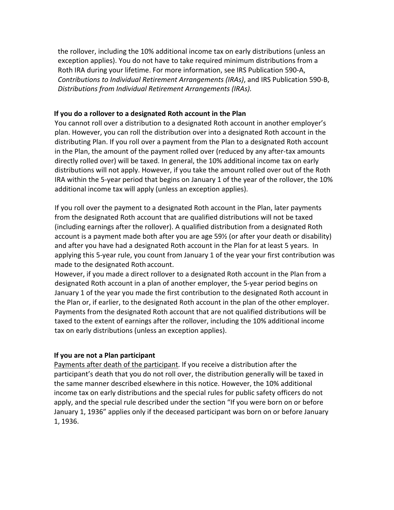the rollover, including the 10% additional income tax on early distributions (unless an exception applies). You do not have to take required minimum distributions from a Roth IRA during your lifetime. For more information, see IRS Publication 590-A, *Contributions to Individual Retirement Arrangements (IRAs)*, and IRS Publication 590-B, *Distributions from Individual Retirement Arrangements (IRAs).*

### **If you do a rollover to a designated Roth account in the Plan**

You cannot roll over a distribution to a designated Roth account in another employer's plan. However, you can roll the distribution over into a designated Roth account in the distributing Plan. If you roll over a payment from the Plan to a designated Roth account in the Plan, the amount of the payment rolled over (reduced by any after-tax amounts directly rolled over) will be taxed. In general, the 10% additional income tax on early distributions will not apply. However, if you take the amount rolled over out of the Roth IRA within the 5-year period that begins on January 1 of the year of the rollover, the 10% additional income tax will apply (unless an exception applies).

If you roll over the payment to a designated Roth account in the Plan, later payments from the designated Roth account that are qualified distributions will not be taxed (including earnings after the rollover). A qualified distribution from a designated Roth account is a payment made both after you are age 59½ (or after your death or disability) and after you have had a designated Roth account in the Plan for at least 5 years. In applying this 5-year rule, you count from January 1 of the year your first contribution was made to the designated Roth account.

However, if you made a direct rollover to a designated Roth account in the Plan from a designated Roth account in a plan of another employer, the 5-year period begins on January 1 of the year you made the first contribution to the designated Roth account in the Plan or, if earlier, to the designated Roth account in the plan of the other employer. Payments from the designated Roth account that are not qualified distributions will be taxed to the extent of earnings after the rollover, including the 10% additional income tax on early distributions (unless an exception applies).

#### **If you are not a Plan participant**

Payments after death of the participant. If you receive a distribution after the participant's death that you do not roll over, the distribution generally will be taxed in the same manner described elsewhere in this notice. However, the 10% additional income tax on early distributions and the special rules for public safety officers do not apply, and the special rule described under the section "If you were born on or before January 1, 1936" applies only if the deceased participant was born on or before January 1, 1936.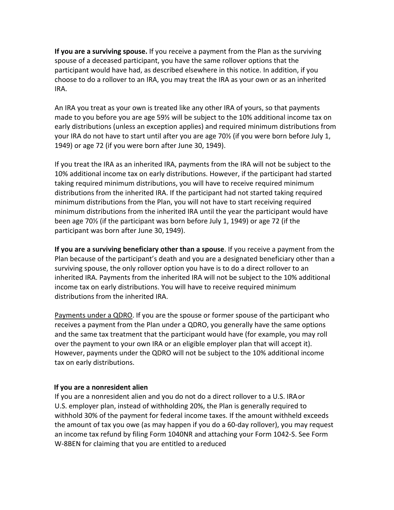**If you are a surviving spouse.** If you receive a payment from the Plan as the surviving spouse of a deceased participant, you have the same rollover options that the participant would have had, as described elsewhere in this notice. In addition, if you choose to do a rollover to an IRA, you may treat the IRA as your own or as an inherited IRA.

An IRA you treat as your own is treated like any other IRA of yours, so that payments made to you before you are age 59½ will be subject to the 10% additional income tax on early distributions (unless an exception applies) and required minimum distributions from your IRA do not have to start until after you are age 70½ (if you were born before July 1, 1949) or age 72 (if you were born after June 30, 1949).

If you treat the IRA as an inherited IRA, payments from the IRA will not be subject to the 10% additional income tax on early distributions. However, if the participant had started taking required minimum distributions, you will have to receive required minimum distributions from the inherited IRA. If the participant had not started taking required minimum distributions from the Plan, you will not have to start receiving required minimum distributions from the inherited IRA until the year the participant would have been age 70½ (if the participant was born before July 1, 1949) or age 72 (if the participant was born after June 30, 1949).

**If you are a surviving beneficiary other than a spouse**. If you receive a payment from the Plan because of the participant's death and you are a designated beneficiary other than a surviving spouse, the only rollover option you have is to do a direct rollover to an inherited IRA. Payments from the inherited IRA will not be subject to the 10% additional income tax on early distributions. You will have to receive required minimum distributions from the inherited IRA.

Payments under a QDRO. If you are the spouse or former spouse of the participant who receives a payment from the Plan under a QDRO, you generally have the same options and the same tax treatment that the participant would have (for example, you may roll over the payment to your own IRA or an eligible employer plan that will accept it). However, payments under the QDRO will not be subject to the 10% additional income tax on early distributions.

### **If you are a nonresident alien**

If you are a nonresident alien and you do not do a direct rollover to a U.S. IRAor U.S. employer plan, instead of withholding 20%, the Plan is generally required to withhold 30% of the payment for federal income taxes. If the amount withheld exceeds the amount of tax you owe (as may happen if you do a 60-day rollover), you may request an income tax refund by filing Form 1040NR and attaching your Form 1042-S. See Form W-8BEN for claiming that you are entitled to areduced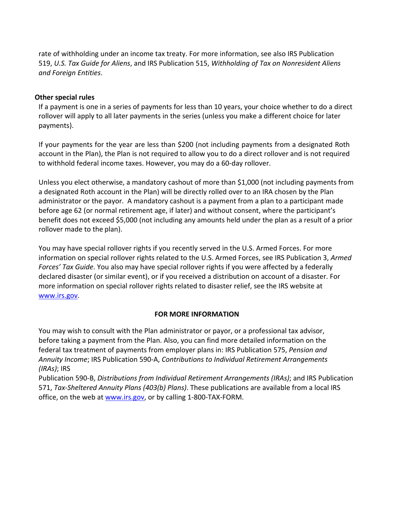rate of withholding under an income tax treaty. For more information, see also IRS Publication 519, *U.S. Tax Guide for Aliens*, and IRS Publication 515, *Withholding of Tax on Nonresident Aliens and Foreign Entities*.

### **Other special rules**

If a payment is one in a series of payments for less than 10 years, your choice whether to do a direct rollover will apply to all later payments in the series (unless you make a different choice for later payments).

If your payments for the year are less than \$200 (not including payments from a designated Roth account in the Plan), the Plan is not required to allow you to do a direct rollover and is not required to withhold federal income taxes. However, you may do a 60-day rollover.

Unless you elect otherwise, a mandatory cashout of more than \$1,000 (not including payments from a designated Roth account in the Plan) will be directly rolled over to an IRA chosen by the Plan administrator or the payor. A mandatory cashout is a payment from a plan to a participant made before age 62 (or normal retirement age, if later) and without consent, where the participant's benefit does not exceed \$5,000 (not including any amounts held under the plan as a result of a prior rollover made to the plan).

You may have special rollover rights if you recently served in the U.S. Armed Forces. For more information on special rollover rights related to the U.S. Armed Forces, see IRS Publication 3, *Armed Forces' Tax Guide*. You also may have special rollover rights if you were affected by a federally declared disaster (or similar event), or if you received a distribution on account of a disaster. For more information on special rollover rights related to disaster relief, see the IRS website at [www.irs.gov.](http://www.irs.gov/)

### **FOR MORE INFORMATION**

You may wish to consult with the Plan administrator or payor, or a professional tax advisor, before taking a payment from the Plan. Also, you can find more detailed information on the federal tax treatment of payments from employer plans in: IRS Publication 575, *Pension and Annuity Income*; IRS Publication 590-A, *Contributions to Individual Retirement Arrangements (IRAs)*; IRS

Publication 590-B, *Distributions from Individual Retirement Arrangements (IRAs)*; and IRS Publication 571, *Tax-Sheltered Annuity Plans (403(b) Plans)*. These publications are available from a local IRS office, on the web at [www.irs.gov,](http://www.irs.gov/) or by calling 1-800-TAX-FORM.